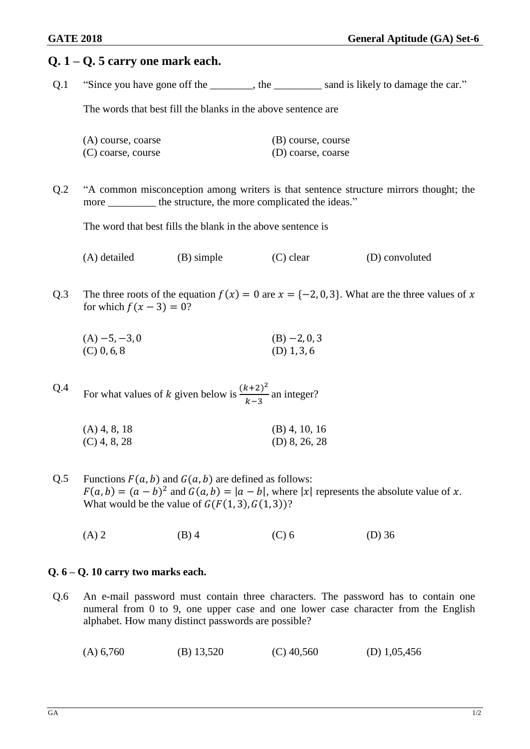# **Q. 1 – Q. 5 carry one mark each.** Q.1 "Since you have gone off the the sand is likely to damage the car." The words that best fill the blanks in the above sentence are (A) course, coarse (B) course, course (C) coarse, course (D) coarse, coarse Q.2 "A common misconception among writers is that sentence structure mirrors thought; the more the structure, the more complicated the ideas." The word that best fills the blank in the above sentence is (A) detailed (B) simple (C) clear (D) convoluted Q.3 The three roots of the equation  $f(x) = 0$  are  $x = \{-2, 0, 3\}$ . What are the three values of x for which  $f(x - 3) = 0$ ?  $(A) -5, -3, 0$  (B)  $-2, 0, 3$  $(C)$  0, 6, 8 (D) 1, 3, 6 Q.4 For what values of k given below is  $\frac{(k+2)^2}{1-r}$  $\frac{k+2j}{k-3}$  an integer? (A) 4, 8, 18 (B) 4, 10, 16  $(C)$  4, 8, 28 (D) 8, 26, 28 Q.5 Functions  $F(a, b)$  and  $G(a, b)$  are defined as follows:  $F(a, b) = (a - b)^2$  and  $G(a, b) = |a - b|$ , where |x| represents the absolute value of x. What would be the value of  $G(F(1, 3), G(1, 3))$ ? (A) 2 (B) 4 (C) 6 (D) 36 **Q. 6 – Q. 10 carry two marks each.**

Q.6 An e-mail password must contain three characters. The password has to contain one numeral from 0 to 9, one upper case and one lower case character from the English alphabet. How many distinct passwords are possible?

| $(B)$ 13,520<br>$(C)$ 40,560<br>(A) 6,760 | (D) $1,05,456$ |
|-------------------------------------------|----------------|
|-------------------------------------------|----------------|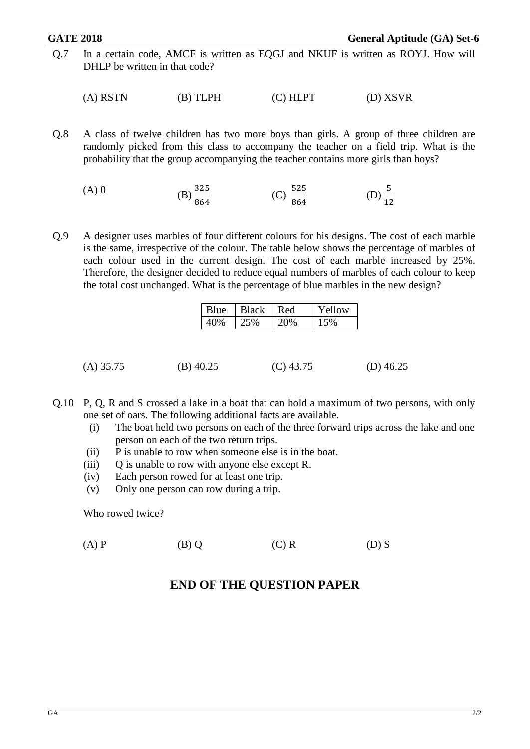Q.7 In a certain code, AMCF is written as EQGJ and NKUF is written as ROYJ. How will DHLP be written in that code?

 $(A) RSTN$  (B) TLPH (C) HLPT (D) XSVR

Q.8 A class of twelve children has two more boys than girls. A group of three children are randomly picked from this class to accompany the teacher on a field trip. What is the probability that the group accompanying the teacher contains more girls than boys?

(A) 0   
 (B) 
$$
\frac{325}{864}
$$
   
 (C)  $\frac{525}{864}$    
 (D)  $\frac{5}{12}$ 

Q.9 A designer uses marbles of four different colours for his designs. The cost of each marble is the same, irrespective of the colour. The table below shows the percentage of marbles of each colour used in the current design. The cost of each marble increased by 25%. Therefore, the designer decided to reduce equal numbers of marbles of each colour to keep the total cost unchanged. What is the percentage of blue marbles in the new design?

| <b>BUD</b> | Black | Red | $\gamma W$ |
|------------|-------|-----|------------|
|            |       |     |            |

- (A) 35.75 (B) 40.25 (C) 43.75 (D) 46.25
- Q.10 P, Q, R and S crossed a lake in a boat that can hold a maximum of two persons, with only one set of oars. The following additional facts are available.
	- (i) The boat held two persons on each of the three forward trips across the lake and one person on each of the two return trips.
	- (ii) P is unable to row when someone else is in the boat.
	- (iii) Q is unable to row with anyone else except R.
	- (iv) Each person rowed for at least one trip.
	- (v) Only one person can row during a trip.

Who rowed twice?

(A) P (B) Q (C) R (D) S

## **END OF THE QUESTION PAPER**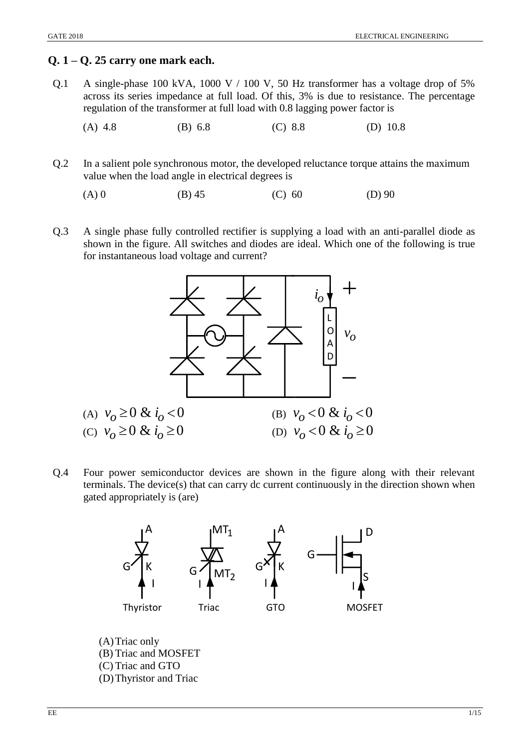## **Q. 1 – Q. 25 carry one mark each.**

- Q.1 A single-phase 100 kVA, 1000 V / 100 V, 50 Hz transformer has a voltage drop of 5% across its series impedance at full load. Of this, 3% is due to resistance. The percentage regulation of the transformer at full load with 0.8 lagging power factor is
	- (A) 4.8 (B) 6.8 (C) 8.8 (D) 10.8
- Q.2 In a salient pole synchronous motor, the developed reluctance torque attains the maximum value when the load angle in electrical degrees is
	- (A) 0 (B) 45 (C) 60 (D) 90
- Q.3 A single phase fully controlled rectifier is supplying a load with an anti-parallel diode as shown in the figure. All switches and diodes are ideal. Which one of the following is true for instantaneous load voltage and current?



Q.4 Four power semiconductor devices are shown in the figure along with their relevant terminals. The device(s) that can carry dc current continuously in the direction shown when gated appropriately is (are)



(A)Triac only (B) Triac and MOSFET (C) Triac and GTO (D)Thyristor and Triac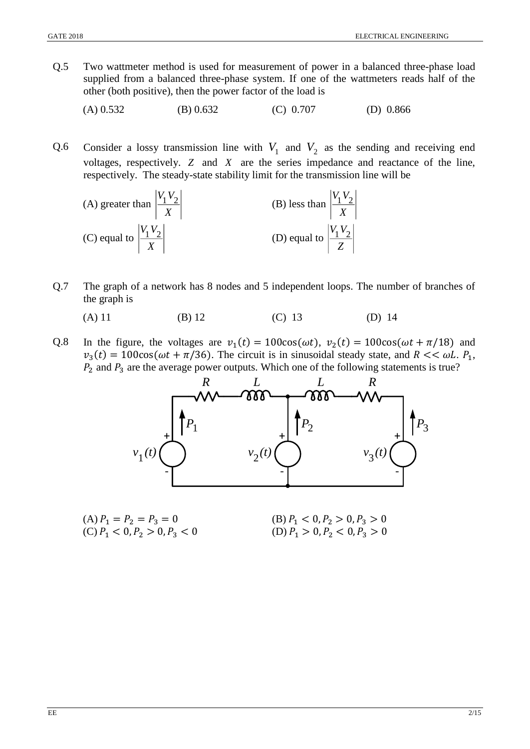- Q.5 Two wattmeter method is used for measurement of power in a balanced three-phase load supplied from a balanced three-phase system. If one of the wattmeters reads half of the other (both positive), then the power factor of the load is
	- (A) 0.532 (B) 0.632 (C) 0.707 (D) 0.866
- Q.6 Consider a lossy transmission line with  $V_1$  and  $V_2$  as the sending and receiving end voltages, respectively. *Z* and *X* are the series impedance and reactance of the line, respectively. The steady-state stability limit for the transmission line will be

(A) greater than 
$$
\left| \frac{V_1 V_2}{X} \right|
$$
  
\n(B) less than  $\left| \frac{V_1 V_2}{X} \right|$   
\n(C) equal to  $\left| \frac{V_1 V_2}{X} \right|$   
\n(D) equal to  $\left| \frac{V_1 V_2}{Z} \right|$ 

- Q.7 The graph of a network has 8 nodes and 5 independent loops. The number of branches of the graph is
	- (A) 11 (B) 12 (C) 13 (D) 14
- Q.8 In the figure, the voltages are  $v_1(t) = 100\cos(\omega t)$ ,  $v_2(t) = 100\cos(\omega t + \pi/18)$  and  $v_3(t) = 100\cos(\omega t + \pi/36)$ . The circuit is in sinusoidal steady state, and  $R \ll \omega L$ .  $P_1$ ,  $P_2$  and  $P_3$  are the average power outputs. Which one of the following statements is true?



(B)  $P_1 < 0, P_2 > 0, P_3 > 0$ <br>(D)  $P_1 > 0, P_2 < 0, P_3 > 0$ (A)  $P_1 = P_2 = P_3 = 0$ <br>(C)  $P_1 < 0, P_2 > 0, P_3 < 0$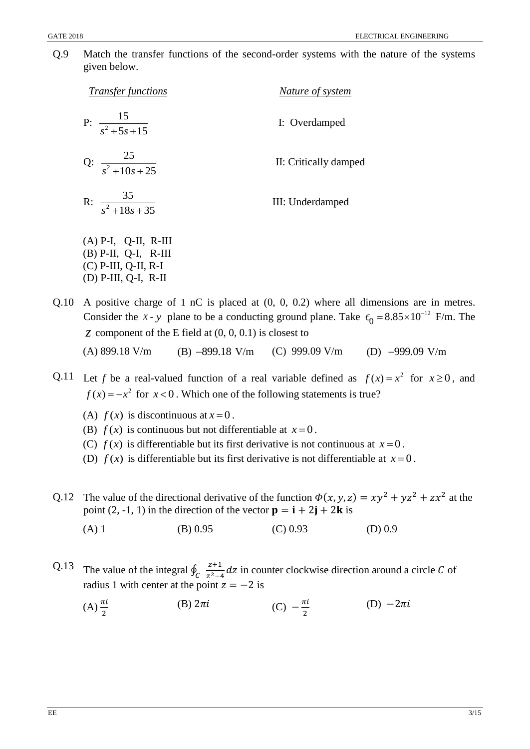Q.9 Match the transfer functions of the second-order systems with the nature of the systems given below.

| <i>Transfer functions</i>     | Nature of system      |  |
|-------------------------------|-----------------------|--|
| P: $\frac{15}{s^2 + 5s + 15}$ | I: Overdamped         |  |
| Q: $\frac{25}{s^2+10s+25}$    | II: Critically damped |  |
| R: $\frac{35}{s^2+18s+35}$    | III: Underdamped      |  |
| $(A)$ P-I, Q-II, R-III        |                       |  |

- (B) P-II, Q-I, R-III (C) P-III, Q-II, R-I (D) P-III, Q-I, R-II
- Q.10 A positive charge of 1 nC is placed at (0, 0, 0.2) where all dimensions are in metres. Consider the *x* - *y* plane to be a conducting ground plane. Take  $\epsilon_0 = 8.85 \times 10^{-12}$  F/m. The *z* component of the E field at (0, 0, 0.1) is closest to (A) 899.18 V/m (B)  $-899.18$  V/m (C) 999.09 V/m (D)  $-999.09$  V/m
- Q.11 Let *f* be a real-valued function of a real variable defined as  $f(x) = x^2$  for  $x \ge 0$ , and  $f(x) = -x^2$  for  $x < 0$ . Which one of the following statements is true?
	- (A)  $f(x)$  is discontinuous at  $x=0$ .
	- (B)  $f(x)$  is continuous but not differentiable at  $x=0$ .
	- (C)  $f(x)$  is differentiable but its first derivative is not continuous at  $x=0$ .
	- (D)  $f(x)$  is differentiable but its first derivative is not differentiable at  $x=0$ .
- Q.12 The value of the directional derivative of the function  $\Phi(x, y, z) = xy^2 + yz^2 + zx^2$  at the point (2, -1, 1) in the direction of the vector  $\mathbf{p} = \mathbf{i} + 2\mathbf{j} + 2\mathbf{k}$  is
	- (A) 1 (B) 0.95 (C) 0.93 (D) 0.9
- Q.13 The value of the integral  $\oint_C \frac{z+1}{z^2-z}$  $\int_{C} \frac{z+1}{z^2-4} dz$  in counter clockwise direction around a circle C of radius 1 with center at the point  $z = -2$  is
	- $(A)$  $\frac{\pi i}{2}$ (B)  $2\pi i$  (C)  $-\frac{\pi i}{2}$ 2 (D)  $-2\pi i$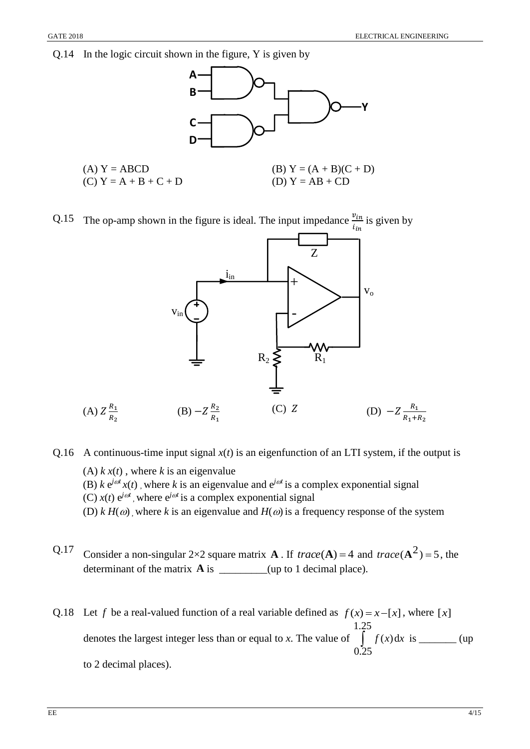### Q.14 In the logic circuit shown in the figure, Y is given by



Q.15 The op-amp shown in the figure is ideal. The input impedance  $\frac{v_{in}}{i_{in}}$  is given by



Q.16 A continuous-time input signal  $x(t)$  is an eigenfunction of an LTI system, if the output is (A)  $k x(t)$ , where  $k$  is an eigenvalue (B)  $k e^{j\omega t} x(t)$ , where  $k$  is an eigenvalue and  $e^{j\omega t}$  is a complex exponential signal (C)  $x(t) e^{j\omega t}$ , where  $e^{j\omega t}$  is a complex exponential signal (D)  $k H(\omega)$ , where k is an eigenvalue and  $H(\omega)$  is a frequency response of the system

- Q.17 Consider a non-singular 2×2 square matrix **A**. If  $trace(A) = 4$  and  $trace(A^2) = 5$ , the determinant of the matrix  $\bf{A}$  is  $\frac{1}{\text{Area}}$  (up to 1 decimal place).
- Q.18 Let *f* be a real-valued function of a real variable defined as  $f(x) = x [x]$ , where [x] denotes the largest integer less than or equal to *x*. The value of 1.25 0.25  $\int f(x) dx$  is \_\_\_\_\_\_\_ (up to 2 decimal places).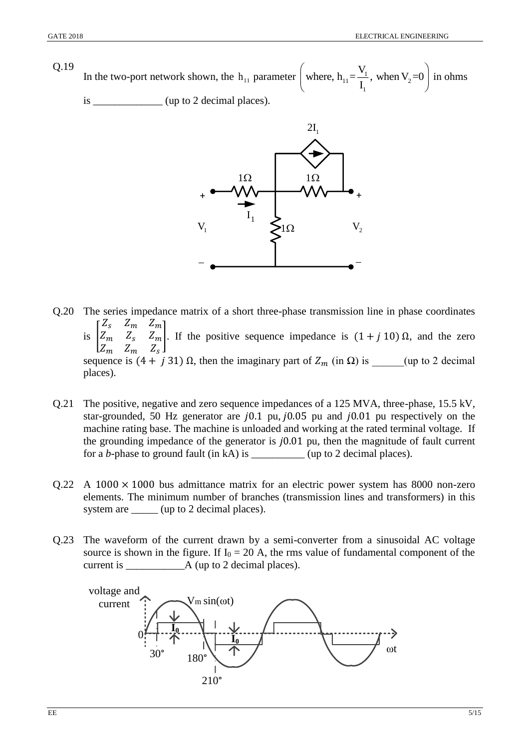Q.19 In the two-port network shown, the h<sub>11</sub> parameter | where,  $h_{11} = \frac{1}{l}$ , when  $V_2$ 1 where,  $h_{11} = \frac{V_1}{I_1}$ , when  $V_2 = 0$ in ohms is \_\_\_\_\_\_\_\_\_\_\_\_\_\_ (up to 2 decimal places).



Q.20 The series impedance matrix of a short three-phase transmission line in phase coordinates is  $|Z_m Z_s Z_m$  $\begin{bmatrix} Z_s & Z_m & Z_m \end{bmatrix}$  $Z_m$   $Z_m$   $Z_s$ ]. If the positive sequence impedance is  $(1 + j 10)$  Ω, and the zero sequence is  $(4 + j 31)$  Ω, then the imaginary part of  $Z_m$  (in Ω) is \_\_\_\_\_(up to 2 decimal places).

- Q.21 The positive, negative and zero sequence impedances of a 125 MVA, three-phase, 15.5 kV, star-grounded, 50 Hz generator are  $j0.1$  pu,  $j0.05$  pu and  $j0.01$  pu respectively on the machine rating base. The machine is unloaded and working at the rated terminal voltage. If the grounding impedance of the generator is  $j0.01$  pu, then the magnitude of fault current for a *b*-phase to ground fault (in kA) is \_\_\_\_\_\_\_\_\_\_ (up to 2 decimal places).
- $Q.22$  A 1000  $\times$  1000 bus admittance matrix for an electric power system has 8000 non-zero elements. The minimum number of branches (transmission lines and transformers) in this system are \_\_\_\_\_\_ (up to 2 decimal places).
- Q.23 The waveform of the current drawn by a semi-converter from a sinusoidal AC voltage source is shown in the figure. If  $I_0 = 20$  A, the rms value of fundamental component of the current is \_\_\_\_\_\_\_\_\_\_\_A (up to 2 decimal places).

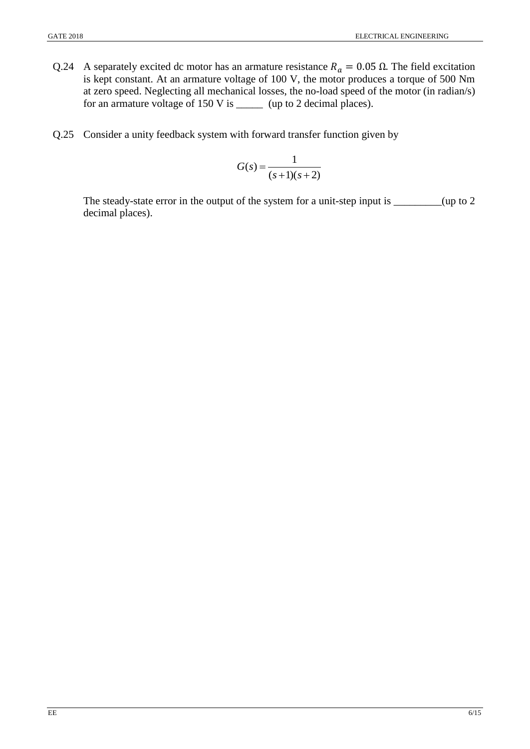- Q.24 A separately excited dc motor has an armature resistance  $R_a = 0.05 \Omega$ . The field excitation is kept constant. At an armature voltage of 100 V, the motor produces a torque of 500 Nm at zero speed. Neglecting all mechanical losses, the no-load speed of the motor (in radian/s) for an armature voltage of 150 V is \_\_\_\_\_\_ (up to 2 decimal places).
- Q.25 Consider a unity feedback system with forward transfer function given by

$$
G(s) = \frac{1}{(s+1)(s+2)}
$$

The steady-state error in the output of the system for a unit-step input is \_\_\_\_\_\_\_(up to 2 decimal places).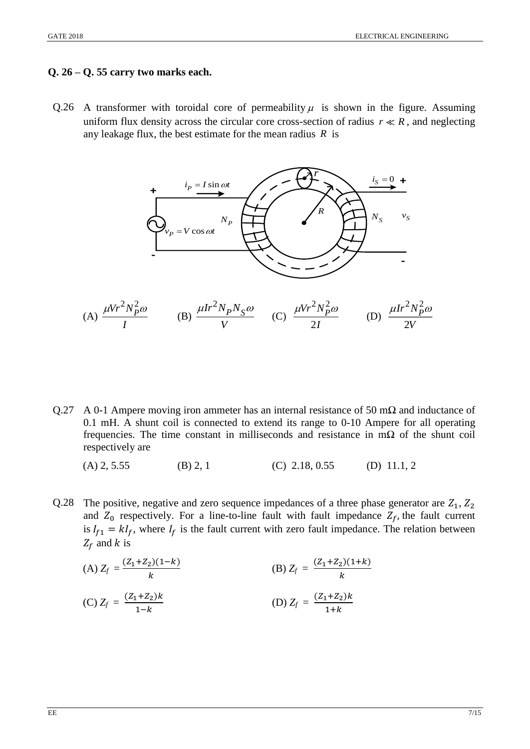#### **Q. 26 – Q. 55 carry two marks each.**

Q.26 A transformer with toroidal core of permeability  $\mu$  is shown in the figure. Assuming uniform flux density across the circular core cross-section of radius  $r \ll R$ , and neglecting any leakage flux, the best estimate for the mean radius  $R$  is



- Q.27 A 0-1 Ampere moving iron ammeter has an internal resistance of 50 m $\Omega$  and inductance of 0.1 mH. A shunt coil is connected to extend its range to 0-10 Ampere for all operating frequencies. The time constant in milliseconds and resistance in m $\Omega$  of the shunt coil respectively are
	- (A) 2, 5.55 (B) 2, 1 (C) 2.18, 0.55 (D) 11.1, 2
- Q.28 The positive, negative and zero sequence impedances of a three phase generator are  $Z_1, Z_2$ and  $Z_0$  respectively. For a line-to-line fault with fault impedance  $Z_f$ , the fault current is  $I_{f1} = kI_f$ , where  $I_f$  is the fault current with zero fault impedance. The relation between  $Z_f$  and k is

(A) 
$$
Z_f = \frac{(Z_1 + Z_2)(1 - k)}{k}
$$
  
\n(B)  $Z_f = \frac{(Z_1 + Z_2)(1 + k)}{k}$   
\n(C)  $Z_f = \frac{(Z_1 + Z_2)k}{1 - k}$   
\n(D)  $Z_f = \frac{(Z_1 + Z_2)k}{1 + k}$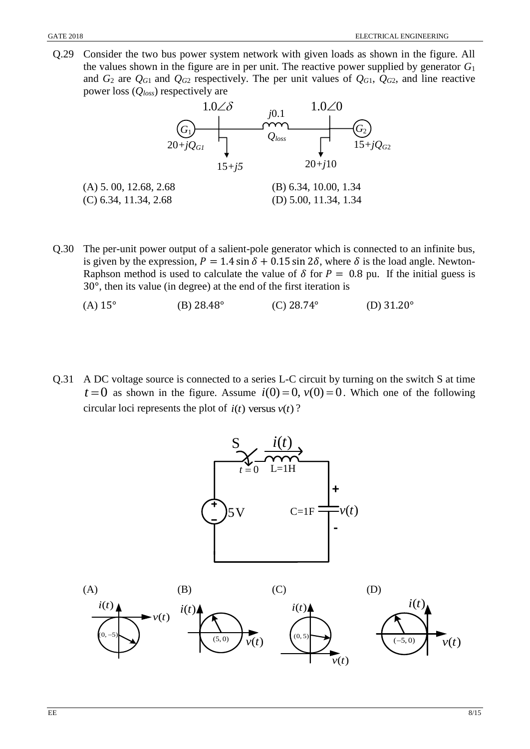Q.29 Consider the two bus power system network with given loads as shown in the figure. All the values shown in the figure are in per unit. The reactive power supplied by generator *G*<sup>1</sup> and  $G_2$  are  $Q_{G1}$  and  $Q_{G2}$  respectively. The per unit values of  $Q_{G1}$ ,  $Q_{G2}$ , and line reactive power loss (*Qloss*) respectively are



- Q.30 The per-unit power output of a salient-pole generator which is connected to an infinite bus, is given by the expression,  $P = 1.4 \sin \delta + 0.15 \sin 2\delta$ , where  $\delta$  is the load angle. Newton-Raphson method is used to calculate the value of  $\delta$  for  $P = 0.8$  pu. If the initial guess is 30°, then its value (in degree) at the end of the first iteration is
	- (A)  $15^{\circ}$  (B)  $28.48^{\circ}$  (C)  $28.74^{\circ}$  (D)  $31.20^{\circ}$
- Q.31 A DC voltage source is connected to a series L-C circuit by turning on the switch S at time  $t = 0$  as shown in the figure. Assume  $i(0) = 0$ ,  $v(0) = 0$ . Which one of the following circular loci represents the plot of  $i(t)$  versus  $v(t)$ ?

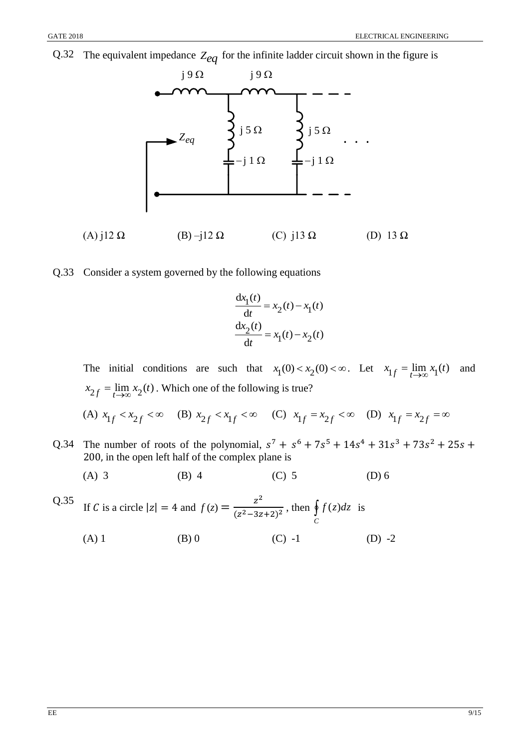Q.32 The equivalent impedance *<sup>Z</sup>eq* for the infinite ladder circuit shown in the figure is



Q.33 Consider a system governed by the following equations

$$
\frac{dx_1(t)}{dt} = x_2(t) - x_1(t)
$$

$$
\frac{dx_2(t)}{dt} = x_1(t) - x_2(t)
$$

The initial conditions are such that  $x_1(0) < x_2(0) < \infty$ . Let  $x_{1f} = \lim_{t \to \infty} x_1(t)$  and  $x_{2f} = \lim_{t \to \infty} x_2(t)$ . Which one of the following is true?

- (A)  $x_{1f} < x_{2f} < \infty$  (B)  $x_{2f} < x_{1f} < \infty$  (C)  $x_{1f} = x_{2f} < \infty$  (D)  $x_{1f} = x_{2f} = \infty$
- Q.34 The number of roots of the polynomial,  $s^7 + s^6 + 7s^5 + 14s^4 + 31s^3 + 73s^2 + 25s +$ 200, in the open left half of the complex plane is
	- (A) 3 (B) 4 (C) 5 (D) 6

Q.35 If C is a circle 
$$
|z| = 4
$$
 and  $f(z) = \frac{z^2}{(z^2 - 3z + 2)^2}$ , then  $\oint_C f(z)dz$  is  
\n(A) 1 \n(B) 0 \n(C) -1 \n(D) -2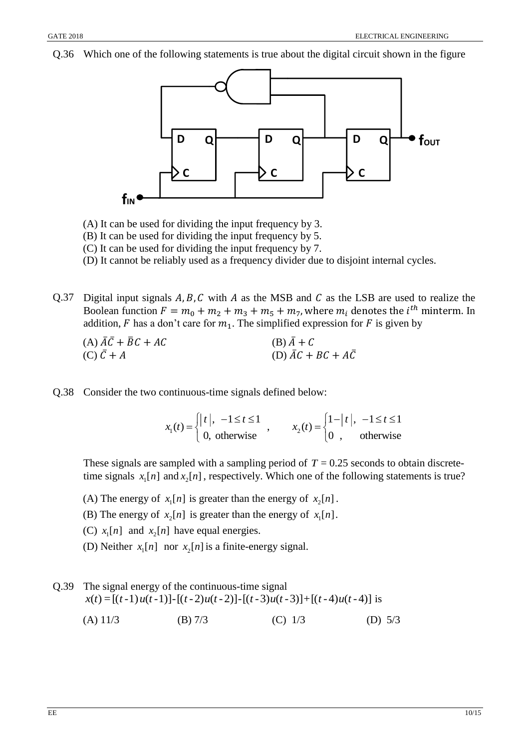Q.36 Which one of the following statements is true about the digital circuit shown in the figure



(A) It can be used for dividing the input frequency by 3.

(B) It can be used for dividing the input frequency by 5.

(C) It can be used for dividing the input frequency by 7.

(D) It cannot be reliably used as a frequency divider due to disjoint internal cycles.

Q.37 Digital input signals  $A, B, C$  with  $A$  as the MSB and  $C$  as the LSB are used to realize the Boolean function  $F = m_0 + m_2 + m_3 + m_5 + m_7$ , where  $m_i$  denotes the  $i^{th}$  minterm. In addition, F has a don't care for  $m_1$ . The simplified expression for F is given by

| (A) $AC + \overline{B}C + AC$ | $(B)$ A + C                              |
|-------------------------------|------------------------------------------|
| $(C) C + A$                   | (D) $\overline{AC} + BC + A\overline{C}$ |

Q.38 Consider the two continuous-time signals defined below:

$$
x_1(t) = \begin{cases} |t|, & -1 \le t \le 1 \\ 0, & \text{otherwise} \end{cases}, \qquad x_2(t) = \begin{cases} 1-|t|, & -1 \le t \le 1 \\ 0, & \text{otherwise} \end{cases}
$$

These signals are sampled with a sampling period of  $T = 0.25$  seconds to obtain discretetime signals  $x_1[n]$  and  $x_2[n]$ , respectively. Which one of the following statements is true?

- (A) The energy of  $x_1[n]$  is greater than the energy of  $x_2[n]$ .
- (B) The energy of  $x_2[n]$  is greater than the energy of  $x_1[n]$ .
- (C)  $x_1[n]$  and  $x_2[n]$  have equal energies.
- (D) Neither  $x_1[n]$  nor  $x_2[n]$  is a finite-energy signal.
- Q.39 The signal energy of the continuous-time signal  $x(t) = [(t-1)u(t-1)] - [(t-2)u(t-2)] - [(t-3)u(t-3)] + [(t-4)u(t-4)]$  is (A) 11/3 (B) 7/3 (C) 1/3 (D) 5/3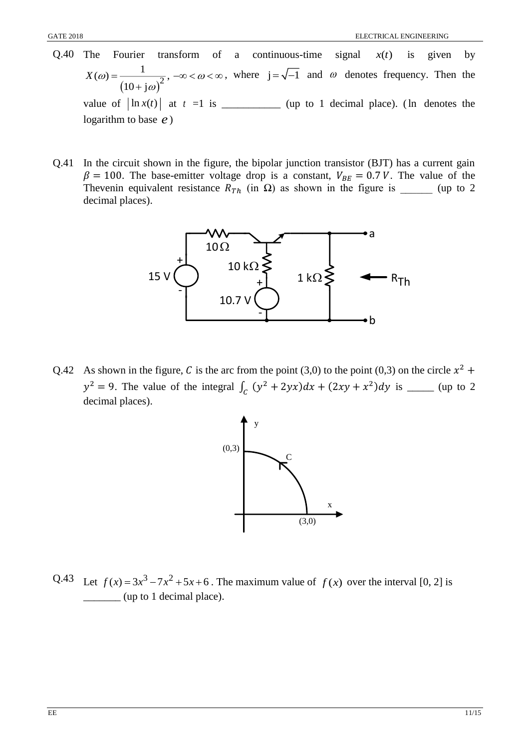- Q.40 The Fourier transform of a continuous-time signal  $x(t)$ is given by  $(10 + j\omega)^2$  $(\omega) = \frac{1}{\sqrt{2}}$ 10 + j  $X(\omega) =$   $-\infty < \omega$  $\omega$  $=$   $-\infty$   $<$   $\omega$   $<$   $\infty$ ┿ , where  $j = \sqrt{-1}$  and  $\omega$  denotes frequency. Then the value of  $\left| \ln x(t) \right|$  at  $t = 1$  is \_\_\_\_\_\_\_\_\_\_\_\_\_ (up to 1 decimal place). (In denotes the logarithm to base *e* )
- Q.41 In the circuit shown in the figure, the bipolar junction transistor (BJT) has a current gain  $\beta = 100$ . The base-emitter voltage drop is a constant,  $V_{BE} = 0.7 V$ . The value of the Thevenin equivalent resistance  $R_{Th}$  (in  $\Omega$ ) as shown in the figure is \_\_\_\_\_\_\_ (up to 2 decimal places).



Q.42 As shown in the figure, C is the arc from the point (3,0) to the point (0,3) on the circle  $x^2$  +  $y^2 = 9$ . The value of the integral  $\int_C (y^2 + 2yx) dx + (2xy + x^2) dy$  is \_\_\_\_\_\_ (up to 2 decimal places).



Q.43 Let  $f(x) = 3x^3 - 7x^2 + 5x + 6$ . The maximum value of  $f(x)$  over the interval [0, 2] is \_\_\_\_\_\_\_ (up to 1 decimal place).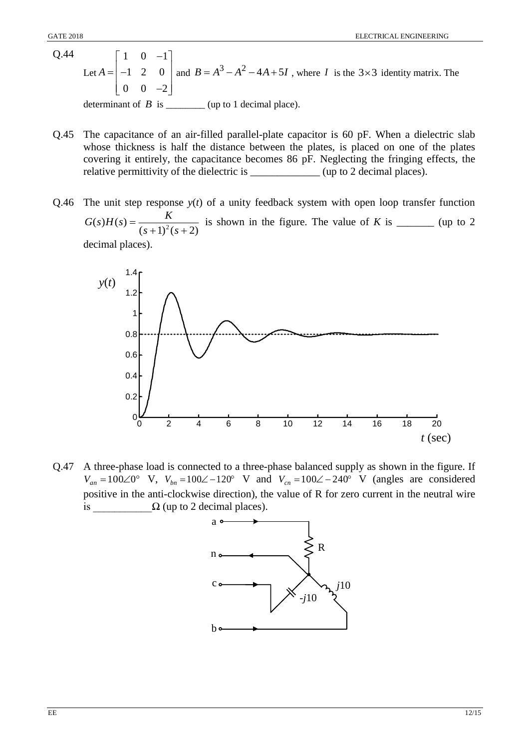- Q.44 Let  $1 \t 0 \t -1$ 1 2 0  $0 \t 0 \t -2$ *A*  $\begin{bmatrix} 1 & 0 & -1 \end{bmatrix}$  $=\begin{vmatrix} -1 & 2 & 0 \end{vmatrix}$  a  $\begin{bmatrix} 0 & 0 & -2 \end{bmatrix}$ and  $B = A^3 - A^2 - 4A + 5I$ , where *I* is the 3×3 identity matrix. The determinant of  $\overline{B}$  is \_\_\_\_\_\_\_\_ (up to 1 decimal place).
- Q.45 The capacitance of an air-filled parallel-plate capacitor is 60 pF. When a dielectric slab whose thickness is half the distance between the plates, is placed on one of the plates covering it entirely, the capacitance becomes 86 pF. Neglecting the fringing effects, the relative permittivity of the dielectric is  $\qquad \qquad$  (up to 2 decimal places).
- Q.46 The unit step response *y*(*t*) of a unity feedback system with open loop transfer function  $(s+1)^2 (s+2)$  $(s)H(s) = \frac{1}{(s+1)^2(s+1)}$  $G(s)H(s) = \frac{K}{s^2 + 3s^2}$  is shown in the figure. The value of *K* is \_\_\_\_\_\_\_\_ (up to 2) decimal places).



Q.47 A three-phase load is connected to a three-phase balanced supply as shown in the figure. If  $V_{an} = 100\angle 0^{\circ}$  V,  $V_{bn} = 100\angle -120^{\circ}$  V and  $V_{cn} = 100\angle -240^{\circ}$  V (angles are considered positive in the anti-clockwise direction), the value of R for zero current in the neutral wire is  $\Omega$  (up to 2 decimal places).

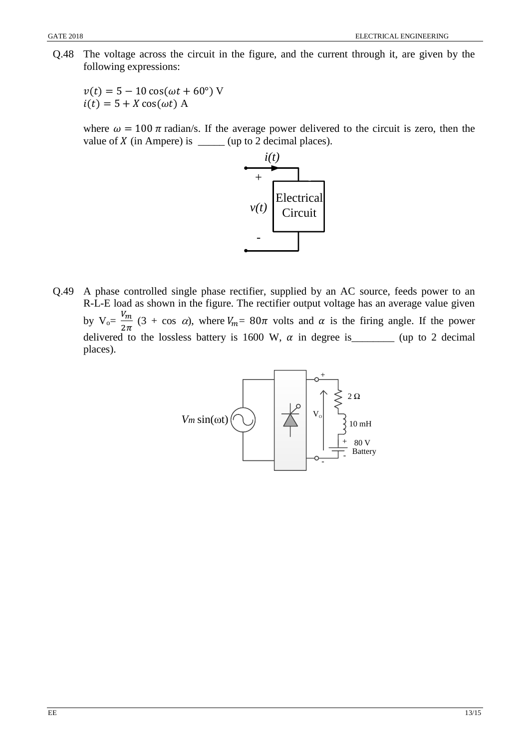Q.48 The voltage across the circuit in the figure, and the current through it, are given by the following expressions:

 $v(t) = 5 - 10 \cos(\omega t + 60^{\circ})$  V  $i(t) = 5 + X \cos(\omega t)$  A

where  $\omega = 100 \pi$  radian/s. If the average power delivered to the circuit is zero, then the value of  $X$  (in Ampere) is \_\_\_\_\_\_ (up to 2 decimal places).



Q.49 A phase controlled single phase rectifier, supplied by an AC source, feeds power to an R-L-E load as shown in the figure. The rectifier output voltage has an average value given by  $V_0 = \frac{V_m}{2}$  $\frac{m}{2\pi}$  (3 + cos  $\alpha$ ), where  $V_m = 80\pi$  volts and  $\alpha$  is the firing angle. If the power delivered to the lossless battery is 1600 W,  $\alpha$  in degree is\_\_\_\_\_\_\_\_\_ (up to 2 decimal places).

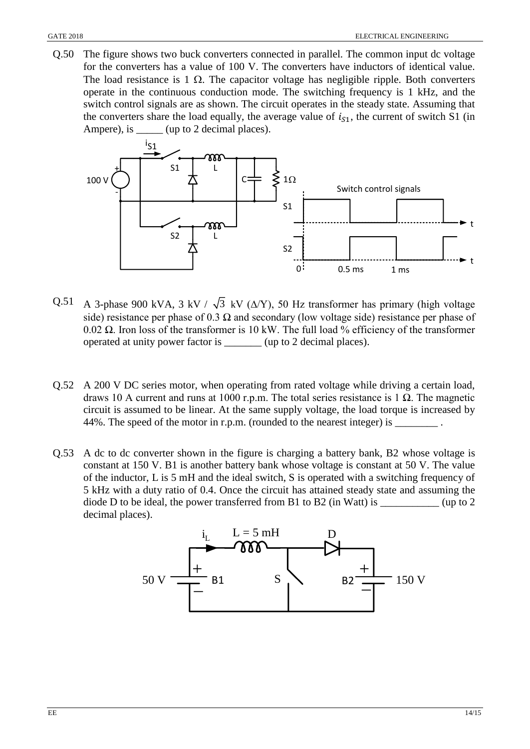Q.50 The figure shows two buck converters connected in parallel. The common input dc voltage for the converters has a value of 100 V. The converters have inductors of identical value. The load resistance is 1  $\Omega$ . The capacitor voltage has negligible ripple. Both converters operate in the continuous conduction mode. The switching frequency is 1 kHz, and the switch control signals are as shown. The circuit operates in the steady state. Assuming that the converters share the load equally, the average value of  $i_{s1}$ , the current of switch S1 (in Ampere), is \_\_\_\_\_\_ (up to 2 decimal places).



- Q.51 A 3-phase 900 kVA, 3 kV /  $\sqrt{3}$  kV ( $\Delta$ /Y), 50 Hz transformer has primary (high voltage side) resistance per phase of 0.3  $\Omega$  and secondary (low voltage side) resistance per phase of 0.02 Ω. Iron loss of the transformer is 10 kW. The full load % efficiency of the transformer operated at unity power factor is \_\_\_\_\_\_\_ (up to 2 decimal places).
- Q.52 A 200 V DC series motor, when operating from rated voltage while driving a certain load, draws 10 A current and runs at 1000 r.p.m. The total series resistance is 1 Ω. The magnetic circuit is assumed to be linear. At the same supply voltage, the load torque is increased by 44%. The speed of the motor in r.p.m. (rounded to the nearest integer) is \_\_\_\_\_\_\_\_.
- Q.53 A dc to dc converter shown in the figure is charging a battery bank, B2 whose voltage is constant at 150 V. B1 is another battery bank whose voltage is constant at 50 V. The value of the inductor, L is 5 mH and the ideal switch, S is operated with a switching frequency of 5 kHz with a duty ratio of 0.4. Once the circuit has attained steady state and assuming the diode D to be ideal, the power transferred from B1 to B2 (in Watt) is \_\_\_\_\_\_\_\_\_\_\_ (up to 2 decimal places).